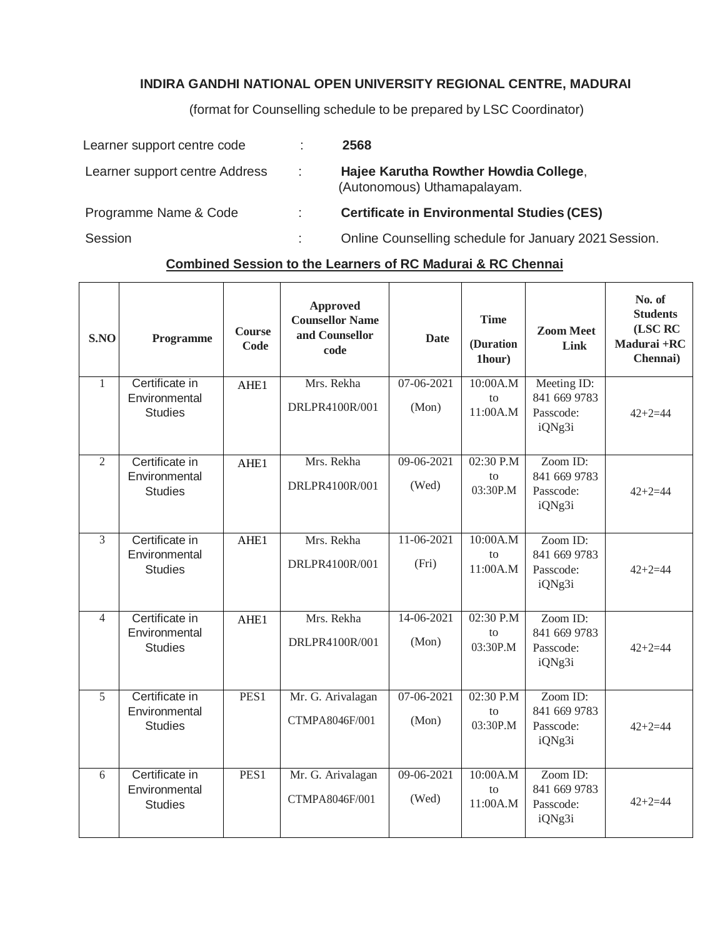## **INDIRA GANDHI NATIONAL OPEN UNIVERSITY REGIONAL CENTRE, MADURAI**

(format for Counselling schedule to be prepared by LSC Coordinator)

| Learner support centre code    |   | 2568                                                                 |
|--------------------------------|---|----------------------------------------------------------------------|
| Learner support centre Address | ÷ | Hajee Karutha Rowther Howdia College,<br>(Autonomous) Uthamapalayam. |
| Programme Name & Code          | ÷ | <b>Certificate in Environmental Studies (CES)</b>                    |
| Session                        |   | Online Counselling schedule for January 2021 Session.                |

## **Combined Session to the Learners of RC Madurai & RC Chennai**

| S.NO           | Programme                                         | <b>Course</b><br>Code | <b>Approved</b><br><b>Counsellor Name</b><br>and Counsellor<br>code | <b>Date</b>         | <b>Time</b><br>(Duration<br>1hour)          | <b>Zoom Meet</b><br>Link                           | No. of<br><b>Students</b><br>(LSC RC<br>Madurai +RC<br>Chennai) |
|----------------|---------------------------------------------------|-----------------------|---------------------------------------------------------------------|---------------------|---------------------------------------------|----------------------------------------------------|-----------------------------------------------------------------|
| $\mathbf{1}$   | Certificate in<br>Environmental<br><b>Studies</b> | AHE1                  | Mrs. Rekha<br>DRLPR4100R/001                                        | 07-06-2021<br>(Mon) | 10:00A.M<br>$\mathsf{f} \Omega$<br>11:00A.M | Meeting ID:<br>841 669 9783<br>Passcode:<br>iQNg3i | $42 + 2 = 44$                                                   |
| $\overline{2}$ | Certificate in<br>Environmental<br><b>Studies</b> | AHE1                  | Mrs. Rekha<br>DRLPR4100R/001                                        | 09-06-2021<br>(Wed) | 02:30 P.M<br>to<br>03:30P.M                 | Zoom ID:<br>841 669 9783<br>Passcode:<br>iQNg3i    | $42 + 2 = 44$                                                   |
| 3              | Certificate in<br>Environmental<br><b>Studies</b> | AHE1                  | Mrs. Rekha<br>DRLPR4100R/001                                        | 11-06-2021<br>(Fri) | 10:00A.M<br>to<br>11:00A.M                  | Zoom ID:<br>841 669 9783<br>Passcode:<br>iQNg3i    | $42 + 2 = 44$                                                   |
| $\overline{4}$ | Certificate in<br>Environmental<br><b>Studies</b> | AHE1                  | Mrs. Rekha<br>DRLPR4100R/001                                        | 14-06-2021<br>(Mon) | 02:30 P.M<br>to<br>03:30P.M                 | Zoom ID:<br>841 669 9783<br>Passcode:<br>iQNg3i    | $42 + 2 = 44$                                                   |
| 5              | Certificate in<br>Environmental<br><b>Studies</b> | PES1                  | Mr. G. Arivalagan<br>CTMPA8046F/001                                 | 07-06-2021<br>(Mon) | 02:30 P.M<br>to<br>03:30P.M                 | Zoom ID:<br>841 669 9783<br>Passcode:<br>iQNg3i    | $42 + 2 = 44$                                                   |
| 6              | Certificate in<br>Environmental<br><b>Studies</b> | PES1                  | Mr. G. Arivalagan<br>CTMPA8046F/001                                 | 09-06-2021<br>(Wed) | 10:00A.M<br>to<br>11:00A.M                  | Zoom ID:<br>841 669 9783<br>Passcode:<br>iQNg3i    | $42 + 2 = 44$                                                   |